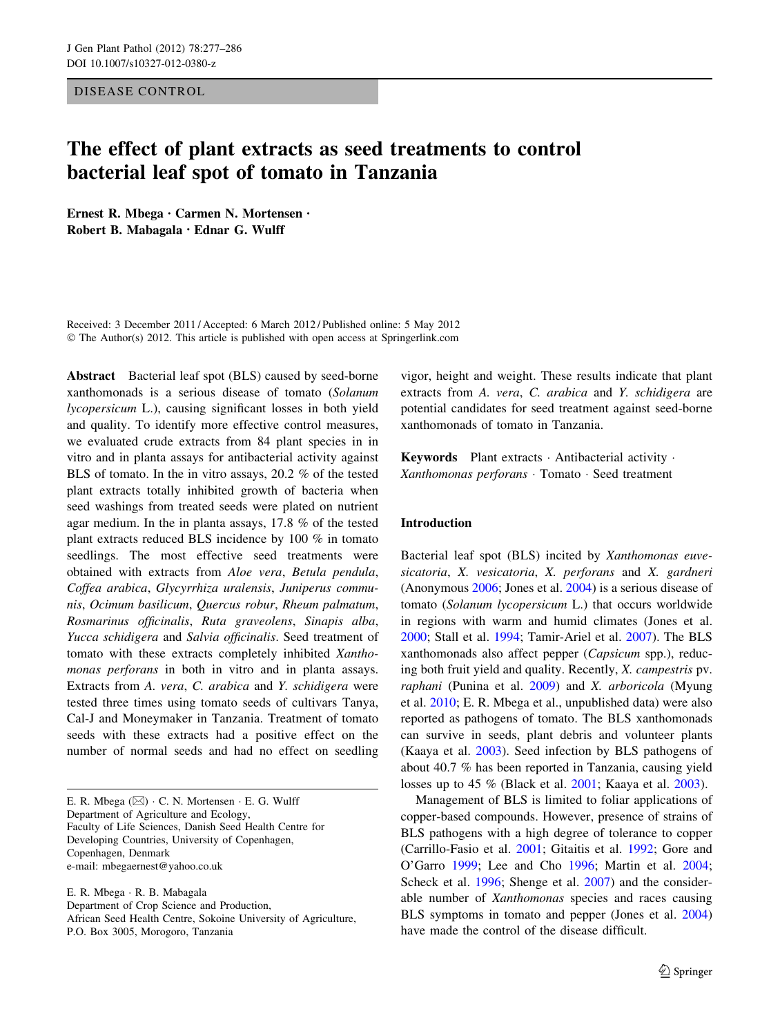DISEASE CONTROL

# The effect of plant extracts as seed treatments to control bacterial leaf spot of tomato in Tanzania

Ernest R. Mbega • Carmen N. Mortensen • Robert B. Mabagala • Ednar G. Wulff

Received: 3 December 2011 / Accepted: 6 March 2012 / Published online: 5 May 2012 © The Author(s) 2012. This article is published with open access at Springerlink.com

Abstract Bacterial leaf spot (BLS) caused by seed-borne xanthomonads is a serious disease of tomato (Solanum lycopersicum L.), causing significant losses in both yield and quality. To identify more effective control measures, we evaluated crude extracts from 84 plant species in in vitro and in planta assays for antibacterial activity against BLS of tomato. In the in vitro assays, 20.2 % of the tested plant extracts totally inhibited growth of bacteria when seed washings from treated seeds were plated on nutrient agar medium. In the in planta assays, 17.8 % of the tested plant extracts reduced BLS incidence by 100 % in tomato seedlings. The most effective seed treatments were obtained with extracts from Aloe vera, Betula pendula, Coffea arabica, Glycyrrhiza uralensis, Juniperus communis, Ocimum basilicum, Quercus robur, Rheum palmatum, Rosmarinus officinalis, Ruta graveolens, Sinapis alba, Yucca schidigera and Salvia officinalis. Seed treatment of tomato with these extracts completely inhibited Xanthomonas perforans in both in vitro and in planta assays. Extracts from A. vera, C. arabica and Y. schidigera were tested three times using tomato seeds of cultivars Tanya, Cal-J and Moneymaker in Tanzania. Treatment of tomato seeds with these extracts had a positive effect on the number of normal seeds and had no effect on seedling

E. R. Mbega ( $\boxtimes$ ) · C. N. Mortensen · E. G. Wulff Department of Agriculture and Ecology, Faculty of Life Sciences, Danish Seed Health Centre for Developing Countries, University of Copenhagen, Copenhagen, Denmark e-mail: mbegaernest@yahoo.co.uk

E. R. Mbega - R. B. Mabagala Department of Crop Science and Production, African Seed Health Centre, Sokoine University of Agriculture, P.O. Box 3005, Morogoro, Tanzania

vigor, height and weight. These results indicate that plant extracts from A. vera, C. arabica and Y. schidigera are potential candidates for seed treatment against seed-borne xanthomonads of tomato in Tanzania.

Keywords Plant extracts · Antibacterial activity · Xanthomonas perforans · Tomato · Seed treatment

# Introduction

Bacterial leaf spot (BLS) incited by Xanthomonas euvesicatoria, X. vesicatoria, X. perforans and X. gardneri (Anonymous [2006;](#page-8-0) Jones et al. [2004](#page-9-0)) is a serious disease of tomato (Solanum lycopersicum L.) that occurs worldwide in regions with warm and humid climates (Jones et al. [2000](#page-9-0); Stall et al. [1994](#page-9-0); Tamir-Ariel et al. [2007](#page-9-0)). The BLS xanthomonads also affect pepper (Capsicum spp.), reducing both fruit yield and quality. Recently, X. campestris pv. raphani (Punina et al. [2009](#page-9-0)) and X. arboricola (Myung et al. [2010](#page-9-0); E. R. Mbega et al., unpublished data) were also reported as pathogens of tomato. The BLS xanthomonads can survive in seeds, plant debris and volunteer plants (Kaaya et al. [2003](#page-9-0)). Seed infection by BLS pathogens of about 40.7 % has been reported in Tanzania, causing yield losses up to 45 % (Black et al. [2001](#page-8-0); Kaaya et al. [2003](#page-9-0)).

Management of BLS is limited to foliar applications of copper-based compounds. However, presence of strains of BLS pathogens with a high degree of tolerance to copper (Carrillo-Fasio et al. [2001](#page-8-0); Gitaitis et al. [1992](#page-8-0); Gore and O'Garro [1999;](#page-8-0) Lee and Cho [1996](#page-9-0); Martin et al. [2004](#page-9-0); Scheck et al. [1996;](#page-9-0) Shenge et al. [2007](#page-9-0)) and the considerable number of Xanthomonas species and races causing BLS symptoms in tomato and pepper (Jones et al. [2004\)](#page-9-0) have made the control of the disease difficult.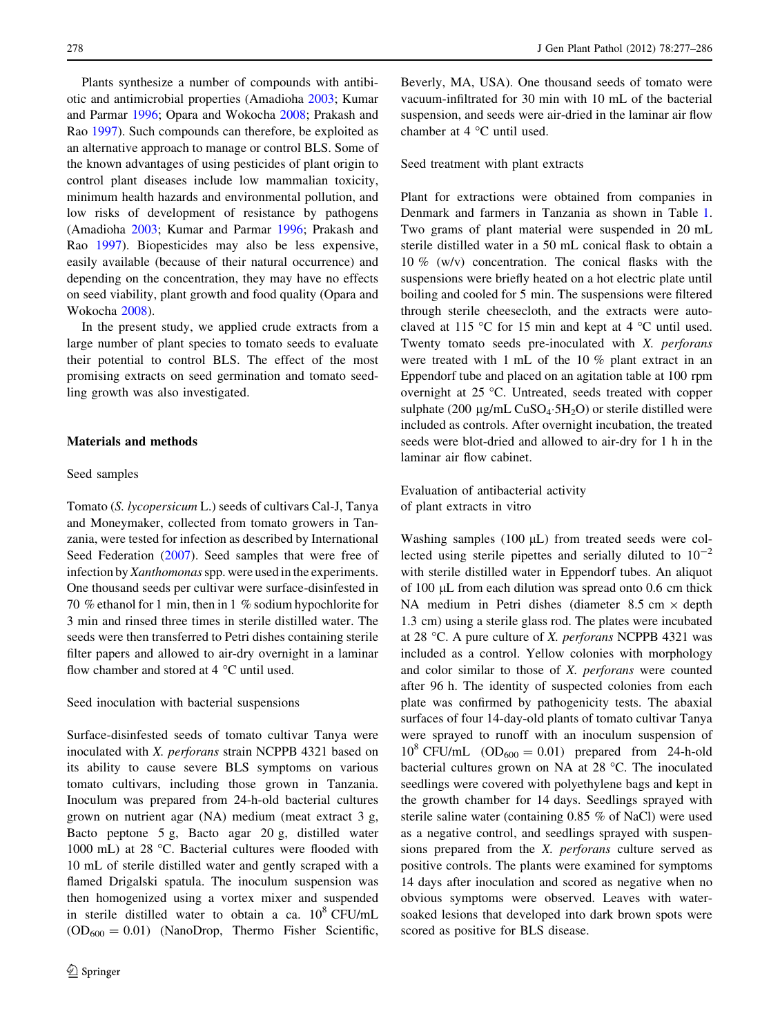Plants synthesize a number of compounds with antibiotic and antimicrobial properties (Amadioha [2003](#page-8-0); Kumar and Parmar [1996;](#page-9-0) Opara and Wokocha [2008;](#page-9-0) Prakash and Rao [1997\)](#page-9-0). Such compounds can therefore, be exploited as an alternative approach to manage or control BLS. Some of the known advantages of using pesticides of plant origin to control plant diseases include low mammalian toxicity, minimum health hazards and environmental pollution, and low risks of development of resistance by pathogens (Amadioha [2003](#page-8-0); Kumar and Parmar [1996;](#page-9-0) Prakash and Rao [1997](#page-9-0)). Biopesticides may also be less expensive, easily available (because of their natural occurrence) and depending on the concentration, they may have no effects on seed viability, plant growth and food quality (Opara and Wokocha [2008\)](#page-9-0).

In the present study, we applied crude extracts from a large number of plant species to tomato seeds to evaluate their potential to control BLS. The effect of the most promising extracts on seed germination and tomato seedling growth was also investigated.

## Materials and methods

#### Seed samples

Tomato (S. lycopersicum L.) seeds of cultivars Cal-J, Tanya and Moneymaker, collected from tomato growers in Tanzania, were tested for infection as described by International Seed Federation ([2007\)](#page-8-0). Seed samples that were free of infection by *Xanthomonas* spp. were used in the experiments. One thousand seeds per cultivar were surface-disinfested in 70 % ethanol for 1 min, then in 1 % sodium hypochlorite for 3 min and rinsed three times in sterile distilled water. The seeds were then transferred to Petri dishes containing sterile filter papers and allowed to air-dry overnight in a laminar flow chamber and stored at  $4^{\circ}$ C until used.

Seed inoculation with bacterial suspensions

Surface-disinfested seeds of tomato cultivar Tanya were inoculated with X. perforans strain NCPPB 4321 based on its ability to cause severe BLS symptoms on various tomato cultivars, including those grown in Tanzania. Inoculum was prepared from 24-h-old bacterial cultures grown on nutrient agar (NA) medium (meat extract 3 g, Bacto peptone 5 g, Bacto agar 20 g, distilled water 1000 mL) at 28  $^{\circ}$ C. Bacterial cultures were flooded with 10 mL of sterile distilled water and gently scraped with a flamed Drigalski spatula. The inoculum suspension was then homogenized using a vortex mixer and suspended in sterile distilled water to obtain a ca.  $10^8$  CFU/mL  $(OD<sub>600</sub> = 0.01)$  (NanoDrop, Thermo Fisher Scientific,

Beverly, MA, USA). One thousand seeds of tomato were vacuum-infiltrated for 30 min with 10 mL of the bacterial suspension, and seeds were air-dried in the laminar air flow chamber at  $4^{\circ}$ C until used.

Seed treatment with plant extracts

Plant for extractions were obtained from companies in Denmark and farmers in Tanzania as shown in Table [1.](#page-2-0) Two grams of plant material were suspended in 20 mL sterile distilled water in a 50 mL conical flask to obtain a 10 % (w/v) concentration. The conical flasks with the suspensions were briefly heated on a hot electric plate until boiling and cooled for 5 min. The suspensions were filtered through sterile cheesecloth, and the extracts were autoclaved at 115 °C for 15 min and kept at 4 °C until used. Twenty tomato seeds pre-inoculated with X. perforans were treated with 1 mL of the 10 % plant extract in an Eppendorf tube and placed on an agitation table at 100 rpm overnight at 25 °C. Untreated, seeds treated with copper sulphate (200  $\mu$ g/mL CuSO<sub>4</sub>.5H<sub>2</sub>O) or sterile distilled were included as controls. After overnight incubation, the treated seeds were blot-dried and allowed to air-dry for 1 h in the laminar air flow cabinet.

Evaluation of antibacterial activity of plant extracts in vitro

Washing samples  $(100 \mu L)$  from treated seeds were collected using sterile pipettes and serially diluted to  $10^{-2}$ with sterile distilled water in Eppendorf tubes. An aliquot of 100  $\mu$ L from each dilution was spread onto 0.6 cm thick NA medium in Petri dishes (diameter  $8.5 \text{ cm} \times \text{depth}$ 1.3 cm) using a sterile glass rod. The plates were incubated at 28 °C. A pure culture of *X. perforans* NCPPB 4321 was included as a control. Yellow colonies with morphology and color similar to those of X. perforans were counted after 96 h. The identity of suspected colonies from each plate was confirmed by pathogenicity tests. The abaxial surfaces of four 14-day-old plants of tomato cultivar Tanya were sprayed to runoff with an inoculum suspension of  $10^8$  CFU/mL (OD<sub>600</sub> = 0.01) prepared from 24-h-old bacterial cultures grown on NA at  $28 \degree C$ . The inoculated seedlings were covered with polyethylene bags and kept in the growth chamber for 14 days. Seedlings sprayed with sterile saline water (containing 0.85 % of NaCl) were used as a negative control, and seedlings sprayed with suspensions prepared from the X. perforans culture served as positive controls. The plants were examined for symptoms 14 days after inoculation and scored as negative when no obvious symptoms were observed. Leaves with watersoaked lesions that developed into dark brown spots were scored as positive for BLS disease.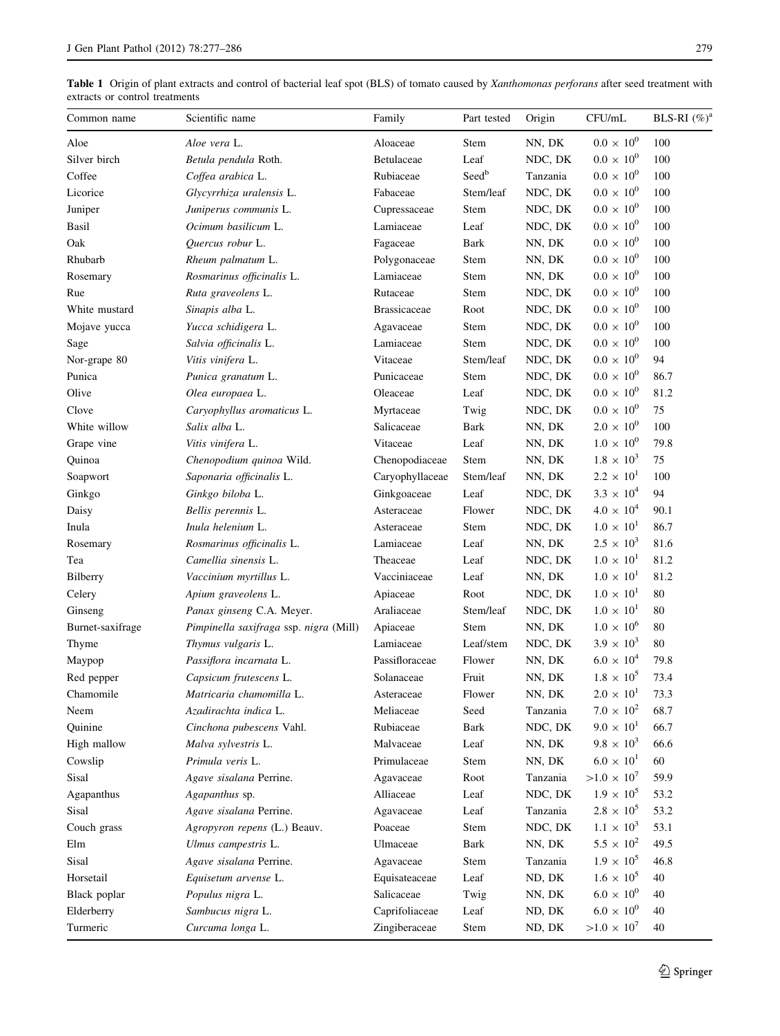<span id="page-2-0"></span>Table 1 Origin of plant extracts and control of bacterial leaf spot (BLS) of tomato caused by Xanthomonas perforans after seed treatment with extracts or control treatments

| Common name      | Scientific name                        | Family              | Part tested       | Origin   | CFU/mL                | BLS-RI $(\%)^2$ |
|------------------|----------------------------------------|---------------------|-------------------|----------|-----------------------|-----------------|
| Aloe             | Aloe vera L.                           | Aloaceae            | Stem              | NN, DK   | $0.0\,\times\,10^{0}$ | 100             |
| Silver birch     | Betula pendula Roth.                   | Betulaceae          | Leaf              | NDC, DK  | $0.0 \times 10^{0}$   | 100             |
| Coffee           | Coffea arabica L.                      | Rubiaceae           | Seed <sup>b</sup> | Tanzania | $0.0 \times 10^{0}$   | 100             |
| Licorice         | Glycyrrhiza uralensis L.               | Fabaceae            | Stem/leaf         | NDC, DK  | $0.0\times10^{0}$     | 100             |
| Juniper          | Juniperus communis L.                  | Cupressaceae        | Stem              | NDC, DK  | $0.0\times10^{0}$     | 100             |
| Basil            | Ocimum basilicum L.                    | Lamiaceae           | Leaf              | NDC, DK  | $0.0 \times 10^{0}$   | 100             |
| Oak              | Quercus robur L.                       | Fagaceae            | Bark              | NN, DK   | $0.0 \times 10^{0}$   | 100             |
| Rhubarb          | Rheum palmatum L.                      | Polygonaceae        | Stem              | NN, DK   | $0.0\times10^{0}$     | 100             |
| Rosemary         | Rosmarinus officinalis L.              | Lamiaceae           | Stem              | NN, DK   | $0.0\times10^{0}$     | 100             |
| Rue              | Ruta graveolens L.                     | Rutaceae            | Stem              | NDC, DK  | $0.0\times10^{0}$     | 100             |
| White mustard    | Sinapis alba L.                        | <b>Brassicaceae</b> | Root              | NDC, DK  | $0.0\times10^{0}$     | 100             |
| Mojave yucca     | Yucca schidigera L.                    | Agavaceae           | Stem              | NDC, DK  | $0.0\times10^{0}$     | 100             |
| Sage             | Salvia officinalis L.                  | Lamiaceae           | Stem              | NDC, DK  | $0.0\times10^{0}$     | 100             |
| Nor-grape 80     | Vitis vinifera L.                      | Vitaceae            | Stem/leaf         | NDC, DK  | $0.0\times10^{0}$     | 94              |
| Punica           | Punica granatum L.                     | Punicaceae          | Stem              | NDC, DK  | $0.0 \times 10^{0}$   | 86.7            |
| Olive            | Olea europaea L.                       | Oleaceae            | Leaf              | NDC, DK  | $0.0\times10^{0}$     | 81.2            |
| Clove            | Caryophyllus aromaticus L.             | Myrtaceae           | Twig              | NDC, DK  | $0.0\times10^{0}$     | 75              |
| White willow     | Salix alba L.                          | Salicaceae          | Bark              | NN, DK   | $2.0 \times 10^{0}$   | 100             |
| Grape vine       | Vitis vinifera L.                      | Vitaceae            | Leaf              | NN, DK   | $1.0 \times 10^{0}$   | 79.8            |
| Quinoa           | Chenopodium quinoa Wild.               | Chenopodiaceae      | Stem              | NN, DK   | $1.8 \times 10^{3}$   | 75              |
| Soapwort         | Saponaria officinalis L.               | Caryophyllaceae     | Stem/leaf         | NN, DK   | $2.2 \times 10^{1}$   | 100             |
| Ginkgo           | Ginkgo biloba L.                       | Ginkgoaceae         | Leaf              | NDC, DK  | $3.3 \times 10^{4}$   | 94              |
| Daisy            | Bellis perennis L.                     | Asteraceae          | Flower            | NDC, DK  | $4.0 \times 10^{4}$   | 90.1            |
| Inula            | Inula helenium L.                      | Asteraceae          | Stem              | NDC, DK  | $1.0 \times 10^{1}$   | 86.7            |
| Rosemary         | Rosmarinus officinalis L.              | Lamiaceae           | Leaf              | NN, DK   | $2.5 \times 10^{3}$   | 81.6            |
| Tea              | Camellia sinensis L.                   | Theaceae            | Leaf              | NDC, DK  | $1.0 \times 10^{1}$   | 81.2            |
| Bilberry         | Vaccinium myrtillus L.                 | Vacciniaceae        | Leaf              | NN, DK   | $1.0 \times 10^{1}$   | 81.2            |
| Celery           | Apium graveolens L.                    | Apiaceae            | Root              | NDC, DK  | $1.0 \times 10^{1}$   | 80              |
| Ginseng          | Panax ginseng C.A. Meyer.              | Araliaceae          | Stem/leaf         | NDC, DK  | $1.0 \times 10^{1}$   | 80              |
| Burnet-saxifrage | Pimpinella saxifraga ssp. nigra (Mill) | Apiaceae            | Stem              | NN, DK   | $1.0 \times 10^{6}$   | 80              |
| Thyme            | Thymus vulgaris L.                     | Lamiaceae           | Leaf/stem         | NDC, DK  | $3.9 \times 10^{3}$   | 80              |
| Maypop           | Passiflora incarnata L.                | Passifloraceae      | Flower            | NN, DK   | $6.0 \times 10^{4}$   | 79.8            |
| Red pepper       | Capsicum frutescens L.                 | Solanaceae          | Fruit             | NN, DK   | $1.8 \times 10^{5}$   | 73.4            |
| Chamomile        | Matricaria chamomilla L.               | Asteraceae          | Flower            | NN, DK   | $2.0 \times 10^{1}$   | 73.3            |
| Neem             | Azadirachta indica L.                  | Meliaceae           | Seed              | Tanzania | $7.0 \times 10^{2}$   | 68.7            |
| Quinine          | Cinchona pubescens Vahl.               | Rubiaceae           | <b>Bark</b>       | NDC, DK  | $9.0 \times 10^{1}$   | 66.7            |
| High mallow      | Malva sylvestris L.                    | Malvaceae           | Leaf              | NN, DK   | $9.8 \times 10^{3}$   | 66.6            |
| Cowslip          | Primula veris L.                       | Primulaceae         | Stem              | NN, DK   | $6.0 \times 10^{1}$   | 60              |
| Sisal            | Agave sisalana Perrine.                | Agavaceae           | Root              | Tanzania | $>1.0 \times 10^{7}$  | 59.9            |
| Agapanthus       | Agapanthus sp.                         | Alliaceae           | Leaf              | NDC, DK  | $1.9 \times 10^{5}$   | 53.2            |
| Sisal            | Agave sisalana Perrine.                | Agavaceae           | Leaf              | Tanzania | $2.8 \times 10^{5}$   | 53.2            |
| Couch grass      | Agropyron repens (L.) Beauv.           | Poaceae             | Stem              | NDC, DK  | $1.1 \times 10^{3}$   | 53.1            |
| Elm              | Ulmus campestris L.                    | Ulmaceae            | Bark              | NN, DK   | $5.5 \times 10^{2}$   | 49.5            |
| Sisal            | Agave sisalana Perrine.                | Agavaceae           | Stem              | Tanzania | $1.9 \times 10^{5}$   | 46.8            |
| Horsetail        | Equisetum arvense L.                   | Equisateaceae       | Leaf              | ND, DK   | $1.6 \times 10^{5}$   | 40              |
| Black poplar     | Populus nigra L.                       | Salicaceae          | Twig              | NN, DK   | $6.0 \times 10^{0}$   | 40              |
| Elderberry       | Sambucus nigra L.                      | Caprifoliaceae      | Leaf              | ND, DK   | $6.0 \times 10^{0}$   | 40              |
| Turmeric         | Curcuma longa L.                       | Zingiberaceae       | Stem              | ND, DK   | $>1.0 \times 10^7$    | 40              |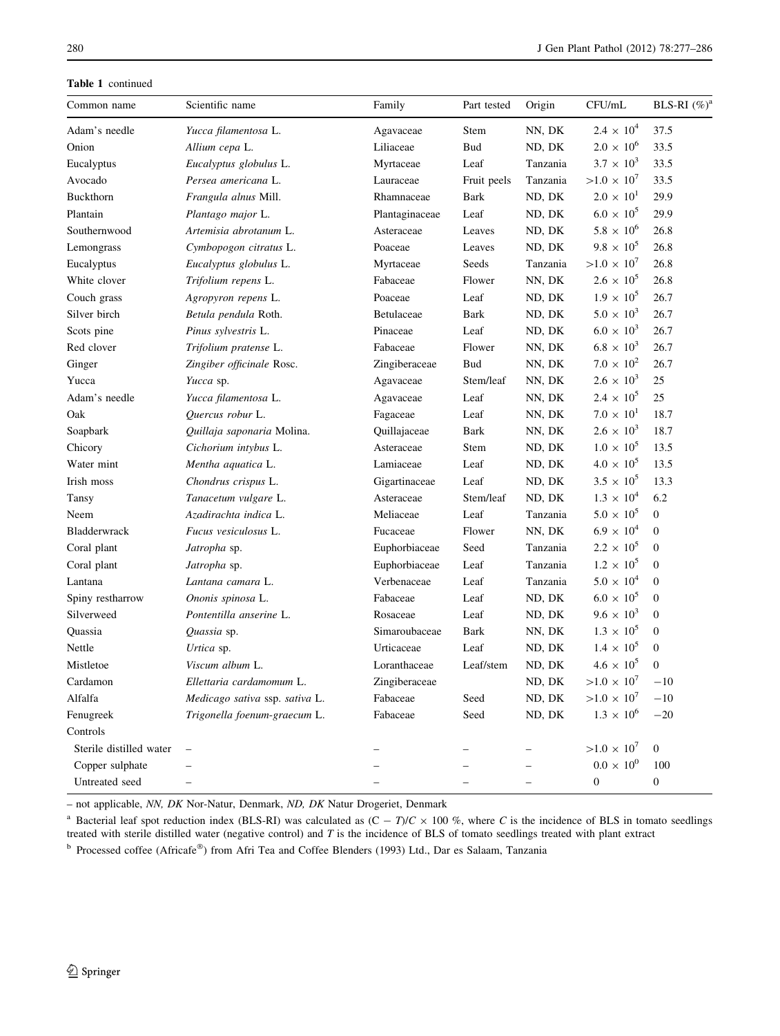# Table 1 continued

| Common name             | Scientific name                | Family         | Part tested | Origin                 | CFU/mL               | BLS-RI $(\%)^a$  |
|-------------------------|--------------------------------|----------------|-------------|------------------------|----------------------|------------------|
| Adam's needle           | Yucca filamentosa L.           | Agavaceae      | Stem        | NN, DK                 | $2.4 \times 10^{4}$  | 37.5             |
| Onion                   | Allium cepa L.                 | Liliaceae      | <b>Bud</b>  | ND, DK                 | $2.0 \times 10^{6}$  | 33.5             |
| Eucalyptus              | Eucalyptus globulus L.         | Myrtaceae      | Leaf        | Tanzania               | $3.7 \times 10^{3}$  | 33.5             |
| Avocado                 | Persea americana L.            | Lauraceae      | Fruit peels | Tanzania               | $>1.0 \times 10^{7}$ | 33.5             |
| Buckthorn               | Frangula alnus Mill.           | Rhamnaceae     | $\rm{Bark}$ | ND, DK                 | $2.0 \times 10^{1}$  | 29.9             |
| Plantain                | Plantago major L.              | Plantaginaceae | Leaf        | ${\rm ND},$ ${\rm DK}$ | $6.0 \times 10^{5}$  | 29.9             |
| Southernwood            | Artemisia abrotanum L.         | Asteraceae     | Leaves      | ND, DK                 | $5.8 \times 10^{6}$  | 26.8             |
| Lemongrass              | Cymbopogon citratus L.         | Poaceae        | Leaves      | ND, DK                 | $9.8 \times 10^{5}$  | 26.8             |
| Eucalyptus              | Eucalyptus globulus L.         | Myrtaceae      | Seeds       | Tanzania               | $>1.0 \times 10^{7}$ | 26.8             |
| White clover            | Trifolium repens L.            | Fabaceae       | Flower      | NN, DK                 | $2.6 \times 10^{5}$  | 26.8             |
| Couch grass             | Agropyron repens L.            | Poaceae        | Leaf        | ND, DK                 | $1.9 \times 10^{5}$  | 26.7             |
| Silver birch            | Betula pendula Roth.           | Betulaceae     | <b>Bark</b> | ND, DK                 | $5.0 \times 10^{3}$  | 26.7             |
| Scots pine              | Pinus sylvestris L.            | Pinaceae       | Leaf        | ND, DK                 | $6.0 \times 10^{3}$  | 26.7             |
| Red clover              | Trifolium pratense L.          | Fabaceae       | Flower      | NN, DK                 | $6.8 \times 10^{3}$  | 26.7             |
| Ginger                  | Zingiber officinale Rosc.      | Zingiberaceae  | <b>Bud</b>  | NN, DK                 | $7.0 \times 10^{2}$  | 26.7             |
| Yucca                   | Yucca sp.                      | Agavaceae      | Stem/leaf   | NN, DK                 | $2.6 \times 10^{3}$  | 25               |
| Adam's needle           | Yucca filamentosa L.           | Agavaceae      | Leaf        | NN, DK                 | $2.4 \times 10^{5}$  | 25               |
| Oak                     | Quercus robur L.               | Fagaceae       | Leaf        | NN, DK                 | $7.0 \times 10^{1}$  | 18.7             |
| Soapbark                | Quillaja saponaria Molina.     | Quillajaceae   | <b>Bark</b> | NN, DK                 | $2.6 \times 10^{3}$  | 18.7             |
| Chicory                 | Cichorium intybus L.           | Asteraceae     | Stem        | ND, DK                 | $1.0 \times 10^{5}$  | 13.5             |
| Water mint              | Mentha aquatica L.             | Lamiaceae      | Leaf        | ND, DK                 | $4.0 \times 10^{5}$  | 13.5             |
| Irish moss              | Chondrus crispus L.            | Gigartinaceae  | Leaf        | ND, DK                 | $3.5 \times 10^{5}$  | 13.3             |
| Tansy                   | Tanacetum vulgare L.           | Asteraceae     | Stem/leaf   | ND, DK                 | $1.3 \times 10^{4}$  | 6.2              |
| Neem                    | Azadirachta indica L.          | Meliaceae      | Leaf        | Tanzania               | $5.0 \times 10^{5}$  | $\mathbf{0}$     |
| Bladderwrack            | Fucus vesiculosus L.           | Fucaceae       | Flower      | NN, DK                 | $6.9 \times 10^{4}$  | $\mathbf{0}$     |
| Coral plant             | Jatropha sp.                   | Euphorbiaceae  | Seed        | Tanzania               | $2.2 \times 10^{5}$  | $\mathbf{0}$     |
| Coral plant             | Jatropha sp.                   | Euphorbiaceae  | Leaf        | Tanzania               | $1.2 \times 10^{5}$  | $\mathbf{0}$     |
| Lantana                 | Lantana camara L.              | Verbenaceae    | Leaf        | Tanzania               | $5.0 \times 10^{4}$  | $\boldsymbol{0}$ |
| Spiny restharrow        | Ononis spinosa L.              | Fabaceae       | Leaf        | ND, DK                 | $6.0 \times 10^{5}$  | $\boldsymbol{0}$ |
| Silverweed              | Pontentilla anserine L.        | Rosaceae       | Leaf        | ND, DK                 | $9.6 \times 10^{3}$  | $\boldsymbol{0}$ |
| Quassia                 | Quassia sp.                    | Simaroubaceae  | <b>Bark</b> | NN, DK                 | $1.3 \times 10^{5}$  | $\boldsymbol{0}$ |
| Nettle                  | Urtica sp.                     | Urticaceae     | Leaf        | ND, DK                 | $1.4 \times 10^{5}$  | $\boldsymbol{0}$ |
| Mistletoe               | Viscum album L.                | Loranthaceae   | Leaf/stem   | ND, DK                 | $4.6 \times 10^{5}$  | $\boldsymbol{0}$ |
| Cardamon                | Ellettaria cardamomum L.       | Zingiberaceae  |             | ${\rm ND},$ ${\rm DK}$ | $>1.0 \times 10^{7}$ | $-10$            |
| Alfalfa                 | Medicago sativa ssp. sativa L. | Fabaceae       | Seed        | ND, DK                 | $>1.0 \times 10^{7}$ | $-10$            |
| Fenugreek               | Trigonella foenum-graecum L.   | Fabaceae       | Seed        | ND, DK                 | $1.3 \times 10^{6}$  | $-20$            |
| Controls                |                                |                |             |                        |                      |                  |
| Sterile distilled water |                                |                |             |                        | $>1.0 \times 10^{7}$ | $\overline{0}$   |
| Copper sulphate         |                                |                |             |                        | $0.0 \times 10^{0}$  | 100              |
| Untreated seed          |                                |                |             |                        | $\boldsymbol{0}$     | $\boldsymbol{0}$ |

– not applicable, NN, DK Nor-Natur, Denmark, ND, DK Natur Drogeriet, Denmark

<sup>a</sup> Bacterial leaf spot reduction index (BLS-RI) was calculated as  $(C - T)/C \times 100\%$ , where C is the incidence of BLS in tomato seedlings treated with sterile distilled water (negative control) and T is the incidence of BLS of tomato seedlings treated with plant extract

<sup>b</sup> Processed coffee (Africafe®) from Afri Tea and Coffee Blenders (1993) Ltd., Dar es Salaam, Tanzania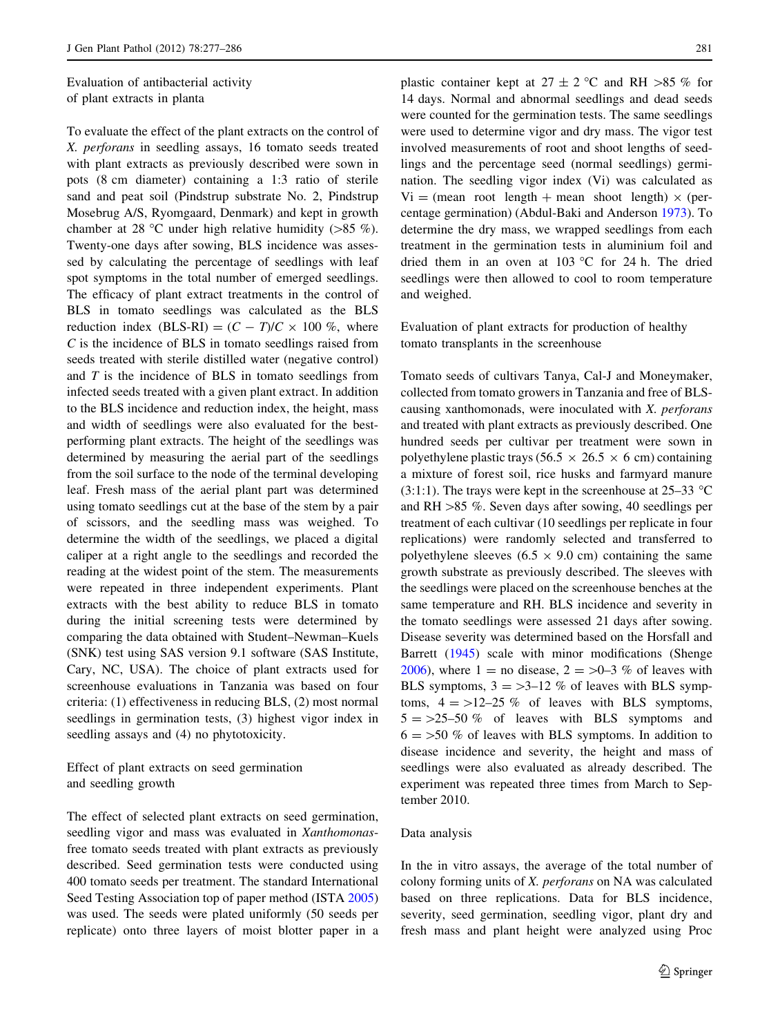Evaluation of antibacterial activity of plant extracts in planta

To evaluate the effect of the plant extracts on the control of X. perforans in seedling assays, 16 tomato seeds treated with plant extracts as previously described were sown in pots (8 cm diameter) containing a 1:3 ratio of sterile sand and peat soil (Pindstrup substrate No. 2, Pindstrup Mosebrug A/S, Ryomgaard, Denmark) and kept in growth chamber at 28 °C under high relative humidity ( $>85$  %). Twenty-one days after sowing, BLS incidence was assessed by calculating the percentage of seedlings with leaf spot symptoms in the total number of emerged seedlings. The efficacy of plant extract treatments in the control of BLS in tomato seedlings was calculated as the BLS reduction index (BLS-RI) =  $(C - T)/C \times 100\%$ , where C is the incidence of BLS in tomato seedlings raised from seeds treated with sterile distilled water (negative control) and T is the incidence of BLS in tomato seedlings from infected seeds treated with a given plant extract. In addition to the BLS incidence and reduction index, the height, mass and width of seedlings were also evaluated for the bestperforming plant extracts. The height of the seedlings was determined by measuring the aerial part of the seedlings from the soil surface to the node of the terminal developing leaf. Fresh mass of the aerial plant part was determined using tomato seedlings cut at the base of the stem by a pair of scissors, and the seedling mass was weighed. To determine the width of the seedlings, we placed a digital caliper at a right angle to the seedlings and recorded the reading at the widest point of the stem. The measurements were repeated in three independent experiments. Plant extracts with the best ability to reduce BLS in tomato during the initial screening tests were determined by comparing the data obtained with Student–Newman–Kuels (SNK) test using SAS version 9.1 software (SAS Institute, Cary, NC, USA). The choice of plant extracts used for screenhouse evaluations in Tanzania was based on four criteria: (1) effectiveness in reducing BLS, (2) most normal seedlings in germination tests, (3) highest vigor index in seedling assays and (4) no phytotoxicity.

# Effect of plant extracts on seed germination and seedling growth

The effect of selected plant extracts on seed germination, seedling vigor and mass was evaluated in Xanthomonasfree tomato seeds treated with plant extracts as previously described. Seed germination tests were conducted using 400 tomato seeds per treatment. The standard International Seed Testing Association top of paper method (ISTA [2005\)](#page-8-0) was used. The seeds were plated uniformly (50 seeds per replicate) onto three layers of moist blotter paper in a plastic container kept at  $27 \pm 2$  °C and RH >85 % for 14 days. Normal and abnormal seedlings and dead seeds were counted for the germination tests. The same seedlings were used to determine vigor and dry mass. The vigor test involved measurements of root and shoot lengths of seedlings and the percentage seed (normal seedlings) germination. The seedling vigor index (Vi) was calculated as  $Vi = (mean root length + mean shoot length) \times (per$ centage germination) (Abdul-Baki and Anderson [1973\)](#page-8-0). To determine the dry mass, we wrapped seedlings from each treatment in the germination tests in aluminium foil and dried them in an oven at 103 °C for 24 h. The dried seedlings were then allowed to cool to room temperature and weighed.

Evaluation of plant extracts for production of healthy tomato transplants in the screenhouse

Tomato seeds of cultivars Tanya, Cal-J and Moneymaker, collected from tomato growers in Tanzania and free of BLScausing xanthomonads, were inoculated with X. perforans and treated with plant extracts as previously described. One hundred seeds per cultivar per treatment were sown in polyethylene plastic trays (56.5  $\times$  26.5  $\times$  6 cm) containing a mixture of forest soil, rice husks and farmyard manure (3:1:1). The trays were kept in the screenhouse at 25–33  $^{\circ}$ C and RH $>85$  %. Seven days after sowing, 40 seedlings per treatment of each cultivar (10 seedlings per replicate in four replications) were randomly selected and transferred to polyethylene sleeves  $(6.5 \times 9.0 \text{ cm})$  containing the same growth substrate as previously described. The sleeves with the seedlings were placed on the screenhouse benches at the same temperature and RH. BLS incidence and severity in the tomato seedlings were assessed 21 days after sowing. Disease severity was determined based on the Horsfall and Barrett [\(1945](#page-8-0)) scale with minor modifications (Shenge [2006](#page-9-0)), where  $1 =$  no disease,  $2 =$  >0–3 % of leaves with BLS symptoms,  $3 = 3-12$  % of leaves with BLS symptoms,  $4 = 12-25\%$  of leaves with BLS symptoms,  $5 = 25-50$  % of leaves with BLS symptoms and  $6 = 50 \%$  of leaves with BLS symptoms. In addition to disease incidence and severity, the height and mass of seedlings were also evaluated as already described. The experiment was repeated three times from March to September 2010.

## Data analysis

In the in vitro assays, the average of the total number of colony forming units of X. perforans on NA was calculated based on three replications. Data for BLS incidence, severity, seed germination, seedling vigor, plant dry and fresh mass and plant height were analyzed using Proc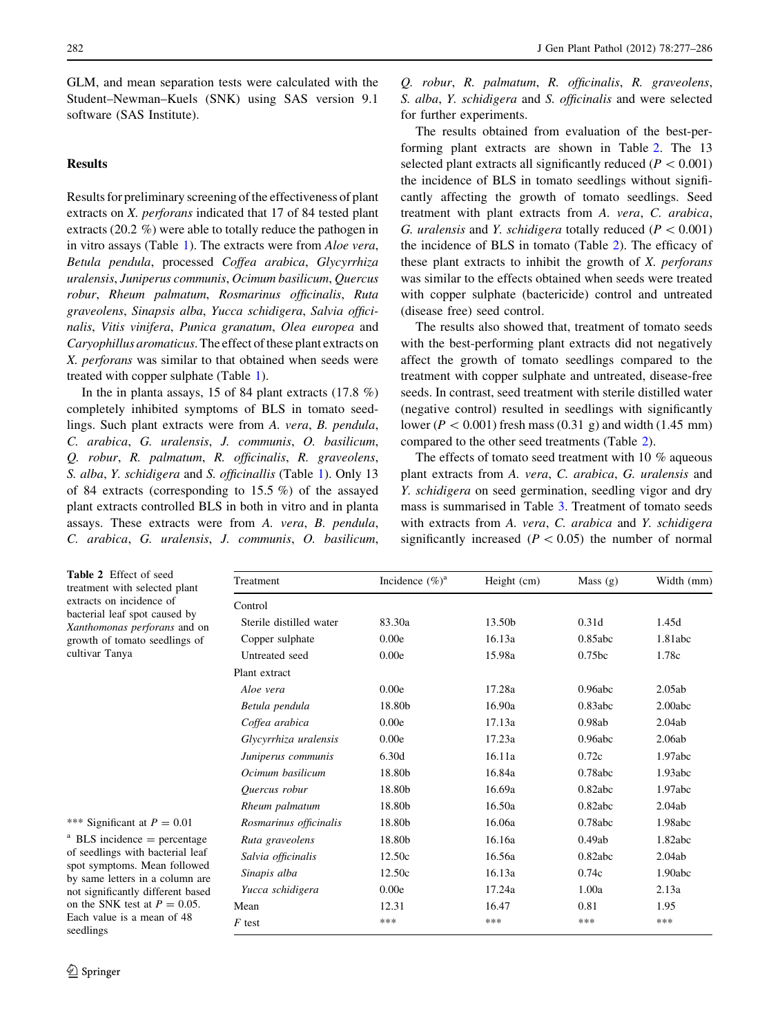<span id="page-5-0"></span>GLM, and mean separation tests were calculated with the Student–Newman–Kuels (SNK) using SAS version 9.1 software (SAS Institute).

# Results

Results for preliminary screening of the effectiveness of plant extracts on X. perforans indicated that 17 of 84 tested plant extracts (20.2 %) were able to totally reduce the pathogen in in vitro assays (Table [1\)](#page-2-0). The extracts were from Aloe vera, Betula pendula, processed Coffea arabica, Glycyrrhiza uralensis, Juniperus communis, Ocimum basilicum, Quercus robur, Rheum palmatum, Rosmarinus officinalis, Ruta graveolens, Sinapsis alba, Yucca schidigera, Salvia officinalis, Vitis vinifera, Punica granatum, Olea europea and Caryophillus aromaticus. The effect of these plant extracts on X. perforans was similar to that obtained when seeds were treated with copper sulphate (Table [1\)](#page-2-0).

In the in planta assays, 15 of 84 plant extracts (17.8 %) completely inhibited symptoms of BLS in tomato seedlings. Such plant extracts were from A. vera, B. pendula, C. arabica, G. uralensis, J. communis, O. basilicum, Q. robur, R. palmatum, R. officinalis, R. graveolens, S. alba, Y. schidigera and S. officinallis (Table [1\)](#page-2-0). Only 13 of 84 extracts (corresponding to 15.5 %) of the assayed plant extracts controlled BLS in both in vitro and in planta assays. These extracts were from A. vera, B. pendula, C. arabica, G. uralensis, J. communis, O. basilicum, Q. robur, R. palmatum, R. officinalis, R. graveolens, S. alba, Y. schidigera and S. officinalis and were selected for further experiments.

The results obtained from evaluation of the best-performing plant extracts are shown in Table 2. The 13 selected plant extracts all significantly reduced ( $P < 0.001$ ) the incidence of BLS in tomato seedlings without significantly affecting the growth of tomato seedlings. Seed treatment with plant extracts from A. vera, C. arabica, G. uralensis and Y. schidigera totally reduced ( $P < 0.001$ ) the incidence of BLS in tomato (Table 2). The efficacy of these plant extracts to inhibit the growth of X. perforans was similar to the effects obtained when seeds were treated with copper sulphate (bactericide) control and untreated (disease free) seed control.

The results also showed that, treatment of tomato seeds with the best-performing plant extracts did not negatively affect the growth of tomato seedlings compared to the treatment with copper sulphate and untreated, disease-free seeds. In contrast, seed treatment with sterile distilled water (negative control) resulted in seedlings with significantly lower ( $P < 0.001$ ) fresh mass (0.31 g) and width (1.45 mm) compared to the other seed treatments (Table 2).

The effects of tomato seed treatment with 10 % aqueous plant extracts from A. vera, C. arabica, G. uralensis and Y. schidigera on seed germination, seedling vigor and dry mass is summarised in Table [3](#page-6-0). Treatment of tomato seeds with extracts from A. vera, C. arabica and Y. schidigera significantly increased ( $P < 0.05$ ) the number of normal

| <b>Table 2</b> Effect of seed<br>treatment with selected plant                                                                                                              | Treatment               | Incidence $(\%)^a$ | Height (cm) | Mass (g) | Width (mm) |  |  |
|-----------------------------------------------------------------------------------------------------------------------------------------------------------------------------|-------------------------|--------------------|-------------|----------|------------|--|--|
| extracts on incidence of                                                                                                                                                    | Control                 |                    |             |          |            |  |  |
| bacterial leaf spot caused by<br>Xanthomonas perforans and on<br>growth of tomato seedlings of<br>cultivar Tanya                                                            | Sterile distilled water | 83.30a             | 13.50b      | 0.31d    | 1.45d      |  |  |
|                                                                                                                                                                             | Copper sulphate         | 0.00e              | 16.13a      | 0.85abc  | 1.81abc    |  |  |
|                                                                                                                                                                             | Untreated seed          | 0.00e              | 15.98a      | 0.75bc   | 1.78c      |  |  |
|                                                                                                                                                                             | Plant extract           |                    |             |          |            |  |  |
|                                                                                                                                                                             | Aloe vera               | 0.00e              | 17.28a      | 0.96abc  | 2.05ab     |  |  |
|                                                                                                                                                                             | Betula pendula          | 18.80b             | 16.90a      | 0.83abc  | 2.00abc    |  |  |
|                                                                                                                                                                             | Coffea arabica          | 0.00e              | 17.13a      | 0.98ab   | 2.04ab     |  |  |
|                                                                                                                                                                             | Glycyrrhiza uralensis   | 0.00e              | 17.23a      | 0.96abc  | 2.06ab     |  |  |
|                                                                                                                                                                             | Juniperus communis      | 6.30d              | 16.11a      | 0.72c    | 1.97abc    |  |  |
|                                                                                                                                                                             | Ocimum basilicum        | 18.80b             | 16.84a      | 0.78abc  | 1.93abc    |  |  |
|                                                                                                                                                                             | Ouercus robur           | 18.80b             | 16.69a      | 0.82abc  | 1.97abc    |  |  |
|                                                                                                                                                                             | Rheum palmatum          | 18.80b             | 16.50a      | 0.82abc  | 2.04ab     |  |  |
| *** Significant at $P = 0.01$                                                                                                                                               | Rosmarinus officinalis  | 18.80b             | 16.06a      | 0.78abc  | 1.98abc    |  |  |
| $^{\rm a}$ BLS incidence $=$ percentage                                                                                                                                     | Ruta graveolens         | 18.80b             | 16.16a      | 0.49ab   | 1.82abc    |  |  |
| of seedlings with bacterial leaf<br>spot symptoms. Mean followed<br>by same letters in a column are<br>not significantly different based<br>on the SNK test at $P = 0.05$ . | Salvia officinalis      | 12.50c             | 16.56a      | 0.82abc  | 2.04ab     |  |  |
|                                                                                                                                                                             | Sinapis alba            | 12.50c             | 16.13a      | 0.74c    | 1.90abc    |  |  |
|                                                                                                                                                                             | Yucca schidigera        | 0.00e              | 17.24a      | 1.00a    | 2.13a      |  |  |
|                                                                                                                                                                             | Mean                    | 12.31              | 16.47       | 0.81     | 1.95       |  |  |
| Each value is a mean of 48<br>seedlings                                                                                                                                     | $F$ test                | ***                | ***         | ***      | ***        |  |  |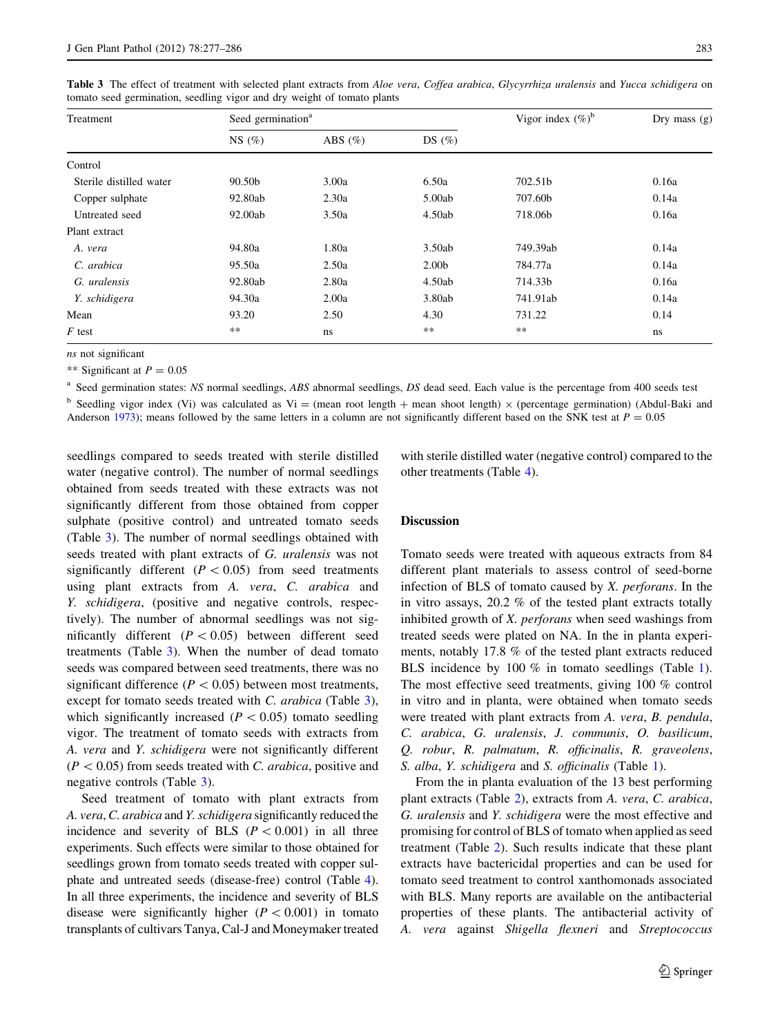| Treatment               | Seed germination <sup>a</sup> |                         |                   | Vigor index $(\%)^b$ | Dry mass $(g)$ |  |
|-------------------------|-------------------------------|-------------------------|-------------------|----------------------|----------------|--|
|                         | NS $(\%)$                     | DS $(\%)$<br>ABS $(\%)$ |                   |                      |                |  |
| Control                 |                               |                         |                   |                      |                |  |
| Sterile distilled water | 90.50b                        | 3.00a                   | 6.50a             | 702.51b              | 0.16a          |  |
| Copper sulphate         | 92.80ab                       | 2.30a                   | 5.00ab            | 707.60b              | 0.14a          |  |
| Untreated seed          | 92.00ab                       | 3.50a                   | 4.50ab            | 718.06b              | 0.16a          |  |
| Plant extract           |                               |                         |                   |                      |                |  |
| A. vera                 | 94.80a                        | 1.80a                   | 3.50ab            | 749.39ab             | 0.14a          |  |
| C. arabica              | 95.50a                        | 2.50a                   | 2.00 <sub>b</sub> | 784.77a              | 0.14a          |  |
| G. uralensis            | 92.80ab                       | 2.80a                   | 4.50ab            | 714.33b              | 0.16a          |  |
| Y. schidigera           | 94.30a                        | 2.00a                   | 3.80ab            | 741.91ab             | 0.14a          |  |
| Mean                    | 93.20                         | 2.50                    | 4.30              | 731.22               | 0.14           |  |
| $F$ test                | $***$                         | ns.                     | $\ast\ast$        | $\ast\ast$           | ns             |  |

<span id="page-6-0"></span>Table 3 The effect of treatment with selected plant extracts from Aloe vera, Coffea arabica, Glycyrrhiza uralensis and Yucca schidigera on tomato seed germination, seedling vigor and dry weight of tomato plants

ns not significant

\*\* Significant at  $P = 0.05$ 

<sup>a</sup> Seed germination states: NS normal seedlings, ABS abnormal seedlings, DS dead seed. Each value is the percentage from 400 seeds test <sup>b</sup> Seedling vigor index (Vi) was calculated as Vi = (mean root length + mean shoot length)  $\times$  (percentage germination) (Abdul-Baki and Anderson [1973\)](#page-8-0); means followed by the same letters in a column are not significantly different based on the SNK test at  $P = 0.05$ 

seedlings compared to seeds treated with sterile distilled water (negative control). The number of normal seedlings obtained from seeds treated with these extracts was not significantly different from those obtained from copper sulphate (positive control) and untreated tomato seeds (Table 3). The number of normal seedlings obtained with seeds treated with plant extracts of G. uralensis was not significantly different ( $P < 0.05$ ) from seed treatments using plant extracts from A. vera, C. arabica and Y. schidigera, (positive and negative controls, respectively). The number of abnormal seedlings was not significantly different  $(P < 0.05)$  between different seed treatments (Table 3). When the number of dead tomato seeds was compared between seed treatments, there was no significant difference ( $P < 0.05$ ) between most treatments, except for tomato seeds treated with C. arabica (Table 3), which significantly increased ( $P<0.05$ ) tomato seedling vigor. The treatment of tomato seeds with extracts from A. vera and Y. schidigera were not significantly different  $(P<0.05)$  from seeds treated with C. *arabica*, positive and negative controls (Table 3).

Seed treatment of tomato with plant extracts from A. vera, C. arabica and Y. schidigera significantly reduced the incidence and severity of BLS ( $P \lt 0.001$ ) in all three experiments. Such effects were similar to those obtained for seedlings grown from tomato seeds treated with copper sulphate and untreated seeds (disease-free) control (Table [4](#page-7-0)). In all three experiments, the incidence and severity of BLS disease were significantly higher  $(P < 0.001)$  in tomato transplants of cultivars Tanya, Cal-J and Moneymaker treated with sterile distilled water (negative control) compared to the other treatments (Table [4\)](#page-7-0).

## Discussion

Tomato seeds were treated with aqueous extracts from 84 different plant materials to assess control of seed-borne infection of BLS of tomato caused by X. perforans. In the in vitro assays, 20.2 % of the tested plant extracts totally inhibited growth of *X. perforans* when seed washings from treated seeds were plated on NA. In the in planta experiments, notably 17.8 % of the tested plant extracts reduced BLS incidence by [1](#page-2-0)00 % in tomato seedlings (Table 1). The most effective seed treatments, giving 100 % control in vitro and in planta, were obtained when tomato seeds were treated with plant extracts from A. vera, B. pendula, C. arabica, G. uralensis, J. communis, O. basilicum, Q. robur, R. palmatum, R. officinalis, R. graveolens, S. alba, Y. schidigera and S. officinalis (Table [1](#page-2-0)).

From the in planta evaluation of the 13 best performing plant extracts (Table [2\)](#page-5-0), extracts from A. vera, C. arabica, G. uralensis and Y. schidigera were the most effective and promising for control of BLS of tomato when applied as seed treatment (Table [2](#page-5-0)). Such results indicate that these plant extracts have bactericidal properties and can be used for tomato seed treatment to control xanthomonads associated with BLS. Many reports are available on the antibacterial properties of these plants. The antibacterial activity of A. vera against Shigella flexneri and Streptococcus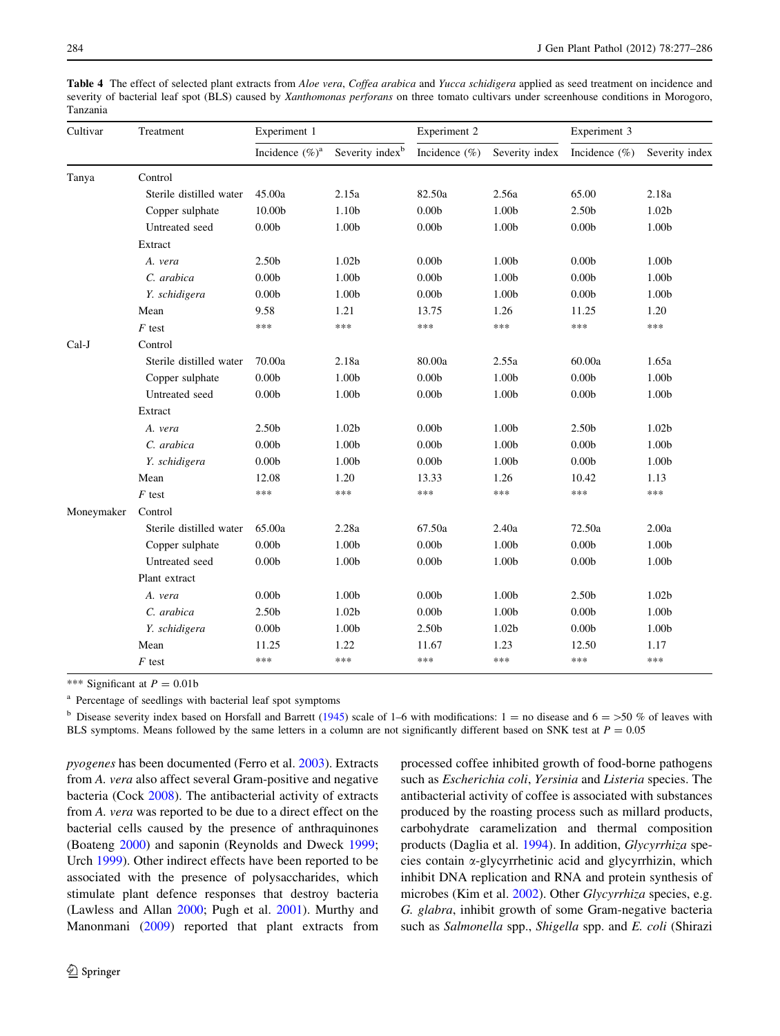<span id="page-7-0"></span>Table 4 The effect of selected plant extracts from Aloe vera, Coffea arabica and Yucca schidigera applied as seed treatment on incidence and severity of bacterial leaf spot (BLS) caused by Xanthomonas perforans on three tomato cultivars under screenhouse conditions in Morogoro, Tanzania

| Cultivar   | Treatment               | Experiment 1       |                             | Experiment 2      |                   | Experiment 3      |                   |
|------------|-------------------------|--------------------|-----------------------------|-------------------|-------------------|-------------------|-------------------|
|            |                         | Incidence $(\%)^a$ | Severity index <sup>b</sup> | Incidence (%)     | Severity index    | Incidence $(\%)$  | Severity index    |
| Tanya      | Control                 |                    |                             |                   |                   |                   |                   |
|            | Sterile distilled water | 45.00a             | 2.15a                       | 82.50a            | 2.56a             | 65.00             | 2.18a             |
|            | Copper sulphate         | 10.00b             | 1.10b                       | 0.00 <sub>b</sub> | 1.00b             | 2.50 <sub>b</sub> | 1.02 <sub>b</sub> |
|            | Untreated seed          | 0.00 <sub>b</sub>  | 1.00b                       | 0.00 <sub>b</sub> | 1.00b             | 0.00 <sub>b</sub> | 1.00b             |
|            | Extract                 |                    |                             |                   |                   |                   |                   |
|            | A. vera                 | 2.50 <sub>b</sub>  | 1.02 <sub>b</sub>           | 0.00 <sub>b</sub> | 1.00b             | 0.00 <sub>b</sub> | 1.00 <sub>b</sub> |
|            | C. arabica              | 0.00 <sub>b</sub>  | 1.00b                       | 0.00 <sub>b</sub> | 1.00b             | 0.00 <sub>b</sub> | 1.00b             |
|            | Y. schidigera           | 0.00 <sub>b</sub>  | 1.00b                       | 0.00 <sub>b</sub> | 1.00 <sub>b</sub> | 0.00 <sub>b</sub> | 1.00b             |
|            | Mean                    | 9.58               | 1.21                        | 13.75             | 1.26              | 11.25             | 1.20              |
|            | $F$ test                | ***                | ***                         | ***               | ***               | ***               | ***               |
| Cal-J      | Control                 |                    |                             |                   |                   |                   |                   |
|            | Sterile distilled water | 70.00a             | 2.18a                       | 80.00a            | 2.55a             | 60.00a            | 1.65a             |
|            | Copper sulphate         | 0.00 <sub>b</sub>  | 1.00b                       | 0.00 <sub>b</sub> | 1.00b             | 0.00 <sub>b</sub> | 1.00b             |
|            | Untreated seed          | 0.00 <sub>b</sub>  | 1.00b                       | 0.00 <sub>b</sub> | 1.00b             | 0.00 <sub>b</sub> | 1.00b             |
|            | Extract                 |                    |                             |                   |                   |                   |                   |
|            | A. vera                 | 2.50 <sub>b</sub>  | 1.02b                       | 0.00 <sub>b</sub> | 1.00b             | 2.50 <sub>b</sub> | 1.02 <sub>b</sub> |
|            | C. arabica              | 0.00 <sub>b</sub>  | 1.00b                       | 0.00 <sub>b</sub> | 1.00b             | 0.00 <sub>b</sub> | 1.00b             |
|            | Y. schidigera           | 0.00 <sub>b</sub>  | 1.00b                       | 0.00 <sub>b</sub> | 1.00b             | 0.00 <sub>b</sub> | 1.00 <sub>b</sub> |
|            | Mean                    | 12.08              | 1.20                        | 13.33             | 1.26              | 10.42             | 1.13              |
|            | $F$ test                | ***                | ***                         | ***               | ***               | ***               | ***               |
| Moneymaker | Control                 |                    |                             |                   |                   |                   |                   |
|            | Sterile distilled water | 65.00a             | 2.28a                       | 67.50a            | 2.40a             | 72.50a            | 2.00a             |
|            | Copper sulphate         | 0.00 <sub>b</sub>  | 1.00b                       | 0.00 <sub>b</sub> | 1.00b             | 0.00 <sub>b</sub> | 1.00b             |
|            | Untreated seed          | 0.00 <sub>b</sub>  | 1.00b                       | 0.00 <sub>b</sub> | 1.00b             | 0.00 <sub>b</sub> | 1.00b             |
|            | Plant extract           |                    |                             |                   |                   |                   |                   |
|            | A. vera                 | 0.00 <sub>b</sub>  | 1.00b                       | 0.00 <sub>b</sub> | 1.00b             | 2.50 <sub>b</sub> | 1.02 <sub>b</sub> |
|            | C. arabica              | 2.50 <sub>b</sub>  | 1.02b                       | 0.00 <sub>b</sub> | 1.00b             | 0.00 <sub>b</sub> | 1.00b             |
|            | Y. schidigera           | 0.00 <sub>b</sub>  | 1.00b                       | 2.50 <sub>b</sub> | 1.02b             | 0.00 <sub>b</sub> | 1.00b             |
|            | Mean                    | 11.25              | 1.22                        | 11.67             | 1.23              | 12.50             | 1.17              |
|            | $F$ test                | ***                | ***                         | ***               | ***               | ***               | ***               |

\*\*\* Significant at  $P = 0.01b$ 

<sup>a</sup> Percentage of seedlings with bacterial leaf spot symptoms

<sup>b</sup> Disease severity index based on Horsfall and Barrett [\(1945](#page-8-0)) scale of 1–6 with modifications: 1 = no disease and 6 = >50 % of leaves with BLS symptoms. Means followed by the same letters in a column are not significantly different based on SNK test at  $P = 0.05$ 

pyogenes has been documented (Ferro et al. [2003](#page-8-0)). Extracts from A. vera also affect several Gram-positive and negative bacteria (Cock [2008](#page-8-0)). The antibacterial activity of extracts from A. vera was reported to be due to a direct effect on the bacterial cells caused by the presence of anthraquinones (Boateng [2000](#page-8-0)) and saponin (Reynolds and Dweck [1999](#page-9-0); Urch [1999\)](#page-9-0). Other indirect effects have been reported to be associated with the presence of polysaccharides, which stimulate plant defence responses that destroy bacteria (Lawless and Allan [2000](#page-9-0); Pugh et al. [2001](#page-9-0)). Murthy and Manonmani [\(2009](#page-9-0)) reported that plant extracts from processed coffee inhibited growth of food-borne pathogens such as Escherichia coli, Yersinia and Listeria species. The antibacterial activity of coffee is associated with substances produced by the roasting process such as millard products, carbohydrate caramelization and thermal composition products (Daglia et al. [1994](#page-8-0)). In addition, Glycyrrhiza species contain a-glycyrrhetinic acid and glycyrrhizin, which inhibit DNA replication and RNA and protein synthesis of microbes (Kim et al. [2002\)](#page-9-0). Other Glycyrrhiza species, e.g. G. glabra, inhibit growth of some Gram-negative bacteria such as Salmonella spp., Shigella spp. and E. coli (Shirazi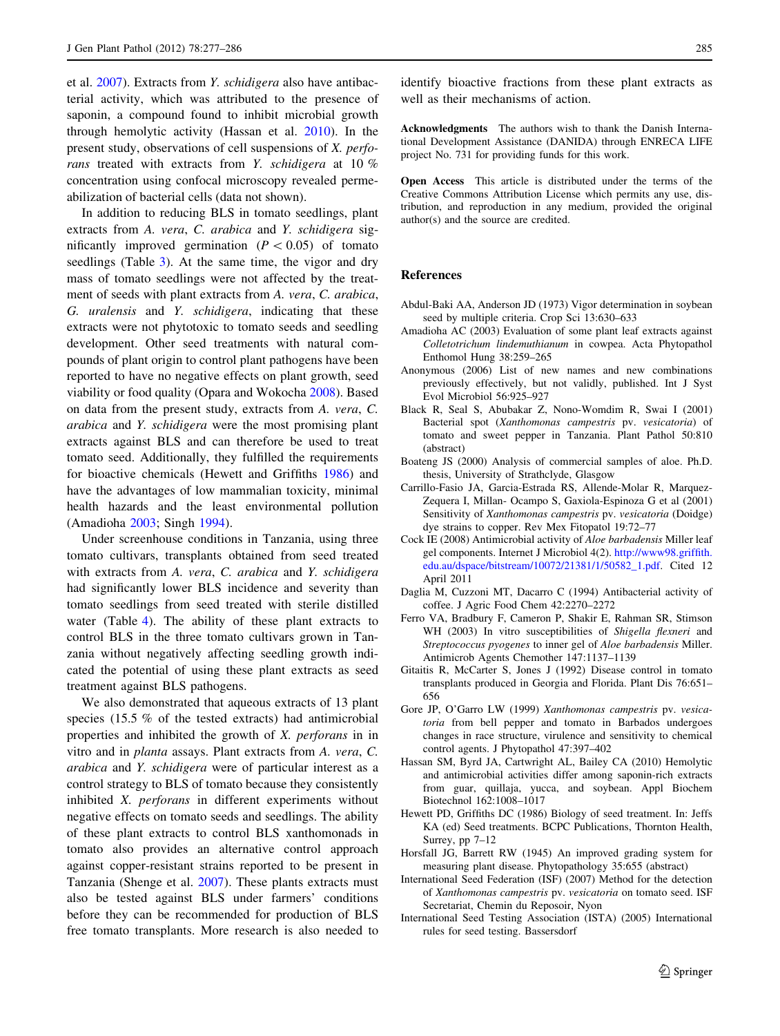<span id="page-8-0"></span>et al. [2007\)](#page-9-0). Extracts from Y. schidigera also have antibacterial activity, which was attributed to the presence of saponin, a compound found to inhibit microbial growth through hemolytic activity (Hassan et al. 2010). In the present study, observations of cell suspensions of X. perforans treated with extracts from Y. schidigera at 10 % concentration using confocal microscopy revealed permeabilization of bacterial cells (data not shown).

In addition to reducing BLS in tomato seedlings, plant extracts from A. vera, C. arabica and Y. schidigera significantly improved germination  $(P<0.05)$  of tomato seedlings (Table [3\)](#page-6-0). At the same time, the vigor and dry mass of tomato seedlings were not affected by the treatment of seeds with plant extracts from A. vera, C. arabica, G. uralensis and Y. schidigera, indicating that these extracts were not phytotoxic to tomato seeds and seedling development. Other seed treatments with natural compounds of plant origin to control plant pathogens have been reported to have no negative effects on plant growth, seed viability or food quality (Opara and Wokocha [2008](#page-9-0)). Based on data from the present study, extracts from A. vera, C. arabica and Y. schidigera were the most promising plant extracts against BLS and can therefore be used to treat tomato seed. Additionally, they fulfilled the requirements for bioactive chemicals (Hewett and Griffiths 1986) and have the advantages of low mammalian toxicity, minimal health hazards and the least environmental pollution (Amadioha 2003; Singh [1994](#page-9-0)).

Under screenhouse conditions in Tanzania, using three tomato cultivars, transplants obtained from seed treated with extracts from A. vera, C. arabica and Y. schidigera had significantly lower BLS incidence and severity than tomato seedlings from seed treated with sterile distilled water (Table [4\)](#page-7-0). The ability of these plant extracts to control BLS in the three tomato cultivars grown in Tanzania without negatively affecting seedling growth indicated the potential of using these plant extracts as seed treatment against BLS pathogens.

We also demonstrated that aqueous extracts of 13 plant species (15.5 % of the tested extracts) had antimicrobial properties and inhibited the growth of X. perforans in in vitro and in planta assays. Plant extracts from A. vera, C. arabica and Y. schidigera were of particular interest as a control strategy to BLS of tomato because they consistently inhibited X. perforans in different experiments without negative effects on tomato seeds and seedlings. The ability of these plant extracts to control BLS xanthomonads in tomato also provides an alternative control approach against copper-resistant strains reported to be present in Tanzania (Shenge et al. [2007](#page-9-0)). These plants extracts must also be tested against BLS under farmers' conditions before they can be recommended for production of BLS free tomato transplants. More research is also needed to identify bioactive fractions from these plant extracts as well as their mechanisms of action.

Acknowledgments The authors wish to thank the Danish International Development Assistance (DANIDA) through ENRECA LIFE project No. 731 for providing funds for this work.

Open Access This article is distributed under the terms of the Creative Commons Attribution License which permits any use, distribution, and reproduction in any medium, provided the original author(s) and the source are credited.

### References

- Abdul-Baki AA, Anderson JD (1973) Vigor determination in soybean seed by multiple criteria. Crop Sci 13:630–633
- Amadioha AC (2003) Evaluation of some plant leaf extracts against Colletotrichum lindemuthianum in cowpea. Acta Phytopathol Enthomol Hung 38:259–265
- Anonymous (2006) List of new names and new combinations previously effectively, but not validly, published. Int J Syst Evol Microbiol 56:925–927
- Black R, Seal S, Abubakar Z, Nono-Womdim R, Swai I (2001) Bacterial spot (Xanthomonas campestris pv. vesicatoria) of tomato and sweet pepper in Tanzania. Plant Pathol 50:810 (abstract)
- Boateng JS (2000) Analysis of commercial samples of aloe. Ph.D. thesis, University of Strathclyde, Glasgow
- Carrillo-Fasio JA, Garcia-Estrada RS, Allende-Molar R, Marquez-Zequera I, Millan- Ocampo S, Gaxiola-Espinoza G et al (2001) Sensitivity of Xanthomonas campestris pv. vesicatoria (Doidge) dye strains to copper. Rev Mex Fitopatol 19:72–77
- Cock IE (2008) Antimicrobial activity of Aloe barbadensis Miller leaf gel components. Internet J Microbiol 4(2). [http://www98.griffith.](http://www98.griffith.edu.au/dspace/bitstream/10072/21381/1/50582_1.pdf) [edu.au/dspace/bitstream/10072/21381/1/50582\\_1.pdf](http://www98.griffith.edu.au/dspace/bitstream/10072/21381/1/50582_1.pdf). Cited 12 April 2011
- Daglia M, Cuzzoni MT, Dacarro C (1994) Antibacterial activity of coffee. J Agric Food Chem 42:2270–2272
- Ferro VA, Bradbury F, Cameron P, Shakir E, Rahman SR, Stimson WH (2003) In vitro susceptibilities of Shigella flexneri and Streptococcus pyogenes to inner gel of Aloe barbadensis Miller. Antimicrob Agents Chemother 147:1137–1139
- Gitaitis R, McCarter S, Jones J (1992) Disease control in tomato transplants produced in Georgia and Florida. Plant Dis 76:651– 656
- Gore JP, O'Garro LW (1999) Xanthomonas campestris pv. vesicatoria from bell pepper and tomato in Barbados undergoes changes in race structure, virulence and sensitivity to chemical control agents. J Phytopathol 47:397–402
- Hassan SM, Byrd JA, Cartwright AL, Bailey CA (2010) Hemolytic and antimicrobial activities differ among saponin-rich extracts from guar, quillaja, yucca, and soybean. Appl Biochem Biotechnol 162:1008–1017
- Hewett PD, Griffiths DC (1986) Biology of seed treatment. In: Jeffs KA (ed) Seed treatments. BCPC Publications, Thornton Health, Surrey, pp 7–12
- Horsfall JG, Barrett RW (1945) An improved grading system for measuring plant disease. Phytopathology 35:655 (abstract)
- International Seed Federation (ISF) (2007) Method for the detection of Xanthomonas campestris pv. vesicatoria on tomato seed. ISF Secretariat, Chemin du Reposoir, Nyon
- International Seed Testing Association (ISTA) (2005) International rules for seed testing. Bassersdorf